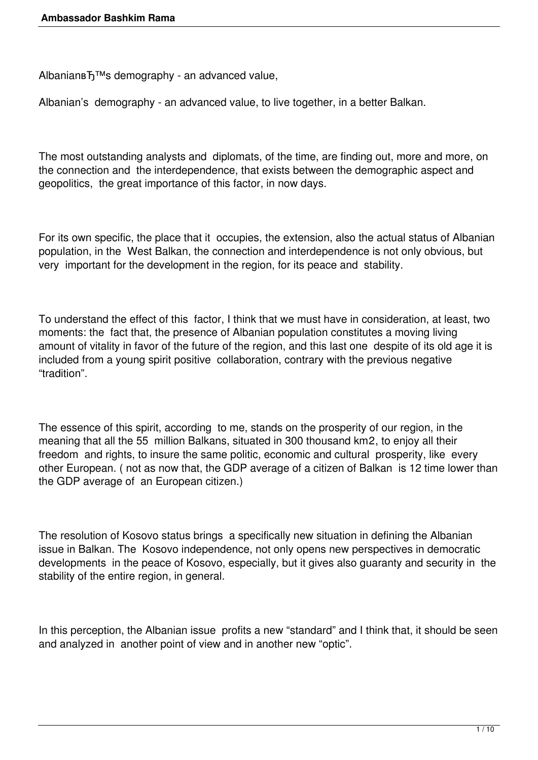Albanian BT<sup>™</sup>s demography - an advanced value,

Albanian's demography - an advanced value, to live together, in a better Balkan.

The most outstanding analysts and diplomats, of the time, are finding out, more and more, on the connection and the interdependence, that exists between the demographic aspect and geopolitics, the great importance of this factor, in now days.

For its own specific, the place that it occupies, the extension, also the actual status of Albanian population, in the West Balkan, the connection and interdependence is not only obvious, but very important for the development in the region, for its peace and stability.

To understand the effect of this factor, I think that we must have in consideration, at least, two moments: the fact that, the presence of Albanian population constitutes a moving living amount of vitality in favor of the future of the region, and this last one despite of its old age it is included from a young spirit positive collaboration, contrary with the previous negative "tradition".

The essence of this spirit, according to me, stands on the prosperity of our region, in the meaning that all the 55 million Balkans, situated in 300 thousand km2, to enjoy all their freedom and rights, to insure the same politic, economic and cultural prosperity, like every other European. ( not as now that, the GDP average of a citizen of Balkan is 12 time lower than the GDP average of an European citizen.)

The resolution of Kosovo status brings a specifically new situation in defining the Albanian issue in Balkan. The Kosovo independence, not only opens new perspectives in democratic developments in the peace of Kosovo, especially, but it gives also guaranty and security in the stability of the entire region, in general.

In this perception, the Albanian issue profits a new "standard" and I think that, it should be seen and analyzed in another point of view and in another new "optic".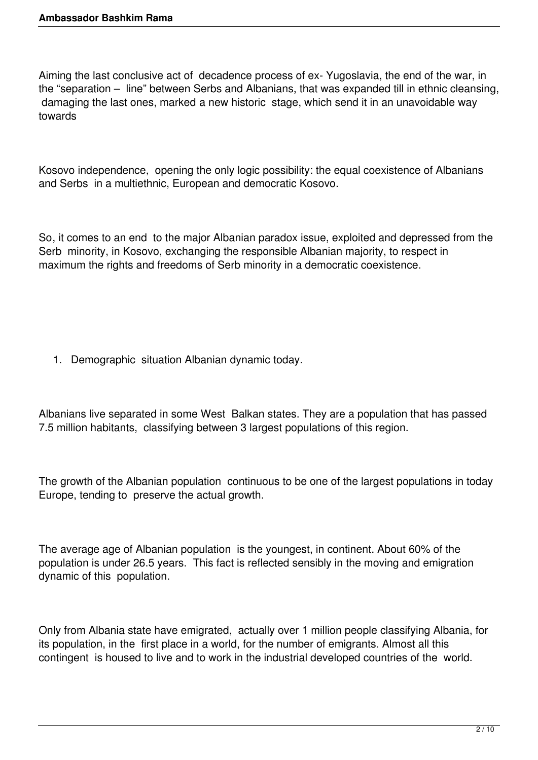Aiming the last conclusive act of decadence process of ex- Yugoslavia, the end of the war, in the "separation – line" between Serbs and Albanians, that was expanded till in ethnic cleansing, damaging the last ones, marked a new historic stage, which send it in an unavoidable way towards

Kosovo independence, opening the only logic possibility: the equal coexistence of Albanians and Serbs in a multiethnic, European and democratic Kosovo.

So, it comes to an end to the major Albanian paradox issue, exploited and depressed from the Serb minority, in Kosovo, exchanging the responsible Albanian majority, to respect in maximum the rights and freedoms of Serb minority in a democratic coexistence.

1. Demographic situation Albanian dynamic today.

Albanians live separated in some West Balkan states. They are a population that has passed 7.5 million habitants, classifying between 3 largest populations of this region.

The growth of the Albanian population continuous to be one of the largest populations in today Europe, tending to preserve the actual growth.

The average age of Albanian population is the youngest, in continent. About 60% of the population is under 26.5 years. This fact is reflected sensibly in the moving and emigration dynamic of this population.

Only from Albania state have emigrated, actually over 1 million people classifying Albania, for its population, in the first place in a world, for the number of emigrants. Almost all this contingent is housed to live and to work in the industrial developed countries of the world.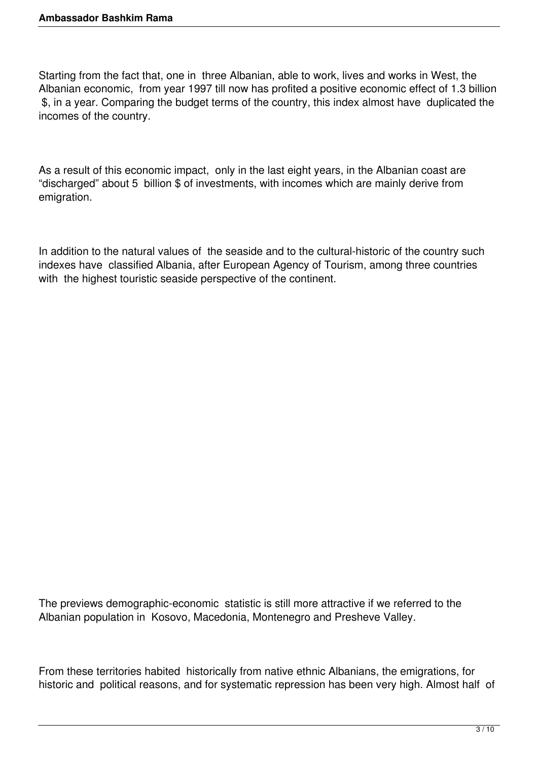Starting from the fact that, one in three Albanian, able to work, lives and works in West, the Albanian economic, from year 1997 till now has profited a positive economic effect of 1.3 billion \$, in a year. Comparing the budget terms of the country, this index almost have duplicated the incomes of the country.

As a result of this economic impact, only in the last eight years, in the Albanian coast are "discharged" about 5 billion \$ of investments, with incomes which are mainly derive from emigration.

In addition to the natural values of the seaside and to the cultural-historic of the country such indexes have classified Albania, after European Agency of Tourism, among three countries with the highest touristic seaside perspective of the continent.

The previews demographic-economic statistic is still more attractive if we referred to the Albanian population in Kosovo, Macedonia, Montenegro and Presheve Valley.

From these territories habited historically from native ethnic Albanians, the emigrations, for historic and political reasons, and for systematic repression has been very high. Almost half of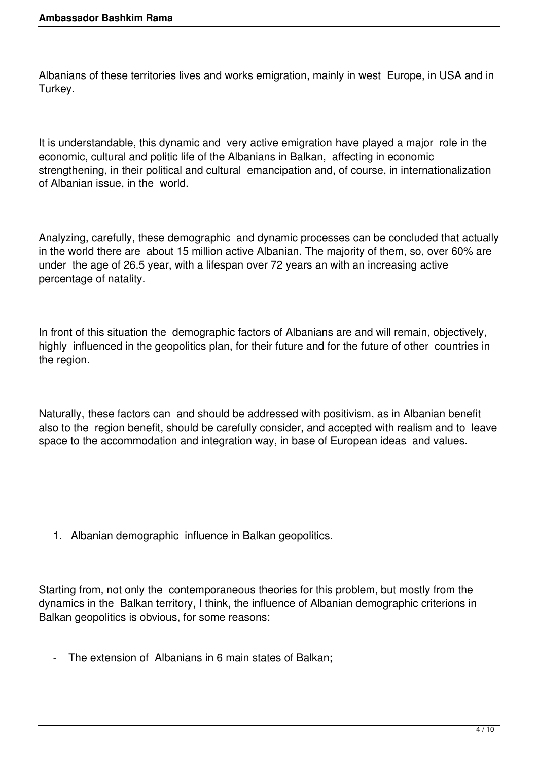Albanians of these territories lives and works emigration, mainly in west Europe, in USA and in Turkey.

It is understandable, this dynamic and very active emigration have played a major role in the economic, cultural and politic life of the Albanians in Balkan, affecting in economic strengthening, in their political and cultural emancipation and, of course, in internationalization of Albanian issue, in the world.

Analyzing, carefully, these demographic and dynamic processes can be concluded that actually in the world there are about 15 million active Albanian. The majority of them, so, over 60% are under the age of 26.5 year, with a lifespan over 72 years an with an increasing active percentage of natality.

In front of this situation the demographic factors of Albanians are and will remain, objectively, highly influenced in the geopolitics plan, for their future and for the future of other countries in the region.

Naturally, these factors can and should be addressed with positivism, as in Albanian benefit also to the region benefit, should be carefully consider, and accepted with realism and to leave space to the accommodation and integration way, in base of European ideas and values.

1. Albanian demographic influence in Balkan geopolitics.

Starting from, not only the contemporaneous theories for this problem, but mostly from the dynamics in the Balkan territory, I think, the influence of Albanian demographic criterions in Balkan geopolitics is obvious, for some reasons:

- The extension of Albanians in 6 main states of Balkan;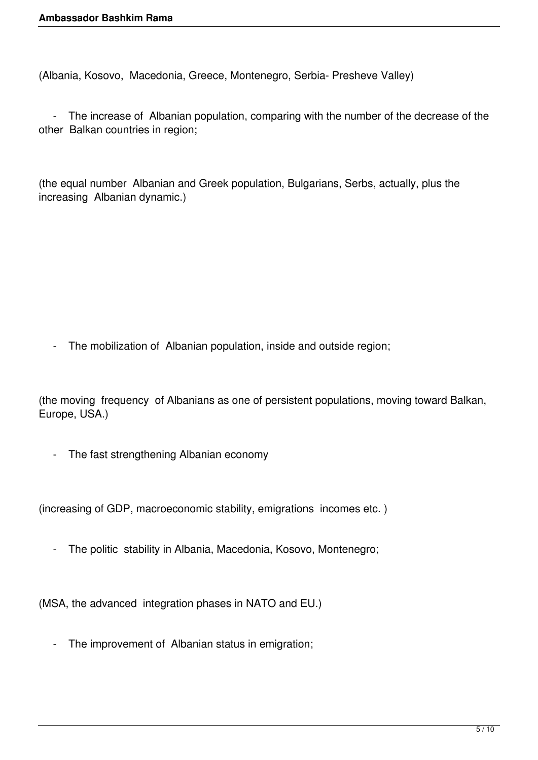(Albania, Kosovo, Macedonia, Greece, Montenegro, Serbia- Presheve Valley)

 - The increase of Albanian population, comparing with the number of the decrease of the other Balkan countries in region;

(the equal number Albanian and Greek population, Bulgarians, Serbs, actually, plus the increasing Albanian dynamic.)

- The mobilization of Albanian population, inside and outside region;

(the moving frequency of Albanians as one of persistent populations, moving toward Balkan, Europe, USA.)

- The fast strengthening Albanian economy

(increasing of GDP, macroeconomic stability, emigrations incomes etc. )

- The politic stability in Albania, Macedonia, Kosovo, Montenegro;

(MSA, the advanced integration phases in NATO and EU.)

- The improvement of Albanian status in emigration;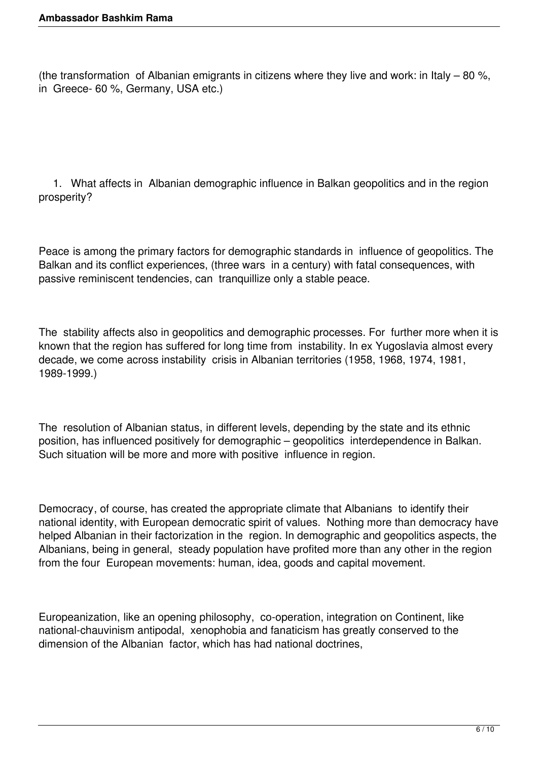(the transformation of Albanian emigrants in citizens where they live and work: in Italy – 80 %, in Greece- 60 %, Germany, USA etc.)

 1. What affects in Albanian demographic influence in Balkan geopolitics and in the region prosperity?

Peace is among the primary factors for demographic standards in influence of geopolitics. The Balkan and its conflict experiences, (three wars in a century) with fatal consequences, with passive reminiscent tendencies, can tranquillize only a stable peace.

The stability affects also in geopolitics and demographic processes. For further more when it is known that the region has suffered for long time from instability. In ex Yugoslavia almost every decade, we come across instability crisis in Albanian territories (1958, 1968, 1974, 1981, 1989-1999.)

The resolution of Albanian status, in different levels, depending by the state and its ethnic position, has influenced positively for demographic – geopolitics interdependence in Balkan. Such situation will be more and more with positive influence in region.

Democracy, of course, has created the appropriate climate that Albanians to identify their national identity, with European democratic spirit of values. Nothing more than democracy have helped Albanian in their factorization in the region. In demographic and geopolitics aspects, the Albanians, being in general, steady population have profited more than any other in the region from the four European movements: human, idea, goods and capital movement.

Europeanization, like an opening philosophy, co-operation, integration on Continent, like national-chauvinism antipodal, xenophobia and fanaticism has greatly conserved to the dimension of the Albanian factor, which has had national doctrines,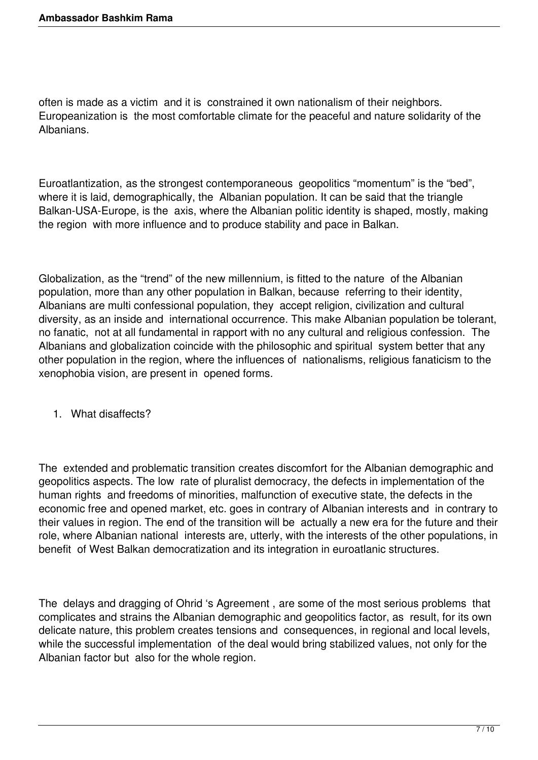often is made as a victim and it is constrained it own nationalism of their neighbors. Europeanization is the most comfortable climate for the peaceful and nature solidarity of the Albanians.

Euroatlantization, as the strongest contemporaneous geopolitics "momentum" is the "bed", where it is laid, demographically, the Albanian population. It can be said that the triangle Balkan-USA-Europe, is the axis, where the Albanian politic identity is shaped, mostly, making the region with more influence and to produce stability and pace in Balkan.

Globalization, as the "trend" of the new millennium, is fitted to the nature of the Albanian population, more than any other population in Balkan, because referring to their identity, Albanians are multi confessional population, they accept religion, civilization and cultural diversity, as an inside and international occurrence. This make Albanian population be tolerant, no fanatic, not at all fundamental in rapport with no any cultural and religious confession. The Albanians and globalization coincide with the philosophic and spiritual system better that any other population in the region, where the influences of nationalisms, religious fanaticism to the xenophobia vision, are present in opened forms.

1. What disaffects?

The extended and problematic transition creates discomfort for the Albanian demographic and geopolitics aspects. The low rate of pluralist democracy, the defects in implementation of the human rights and freedoms of minorities, malfunction of executive state, the defects in the economic free and opened market, etc. goes in contrary of Albanian interests and in contrary to their values in region. The end of the transition will be actually a new era for the future and their role, where Albanian national interests are, utterly, with the interests of the other populations, in benefit of West Balkan democratization and its integration in euroatlanic structures.

The delays and dragging of Ohrid 's Agreement , are some of the most serious problems that complicates and strains the Albanian demographic and geopolitics factor, as result, for its own delicate nature, this problem creates tensions and consequences, in regional and local levels, while the successful implementation of the deal would bring stabilized values, not only for the Albanian factor but also for the whole region.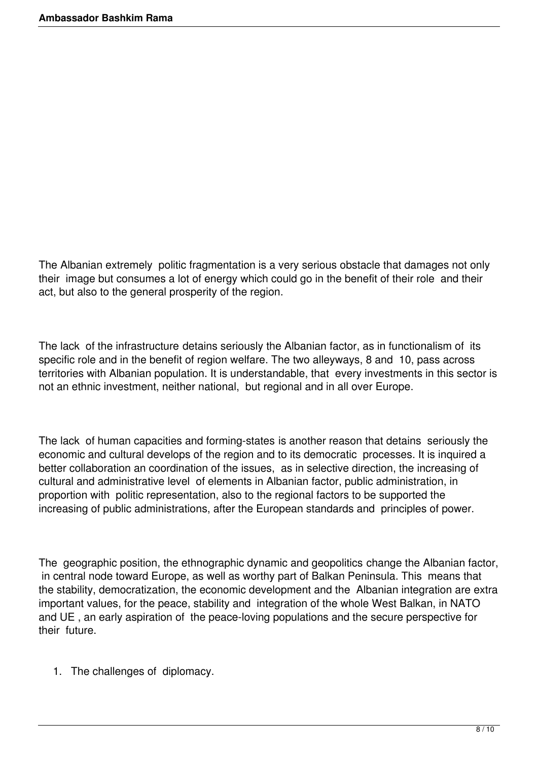The Albanian extremely politic fragmentation is a very serious obstacle that damages not only their image but consumes a lot of energy which could go in the benefit of their role and their act, but also to the general prosperity of the region.

The lack of the infrastructure detains seriously the Albanian factor, as in functionalism of its specific role and in the benefit of region welfare. The two alleyways, 8 and 10, pass across territories with Albanian population. It is understandable, that every investments in this sector is not an ethnic investment, neither national, but regional and in all over Europe.

The lack of human capacities and forming-states is another reason that detains seriously the economic and cultural develops of the region and to its democratic processes. It is inquired a better collaboration an coordination of the issues, as in selective direction, the increasing of cultural and administrative level of elements in Albanian factor, public administration, in proportion with politic representation, also to the regional factors to be supported the increasing of public administrations, after the European standards and principles of power.

The geographic position, the ethnographic dynamic and geopolitics change the Albanian factor, in central node toward Europe, as well as worthy part of Balkan Peninsula. This means that the stability, democratization, the economic development and the Albanian integration are extra important values, for the peace, stability and integration of the whole West Balkan, in NATO and UE , an early aspiration of the peace-loving populations and the secure perspective for their future.

1. The challenges of diplomacy.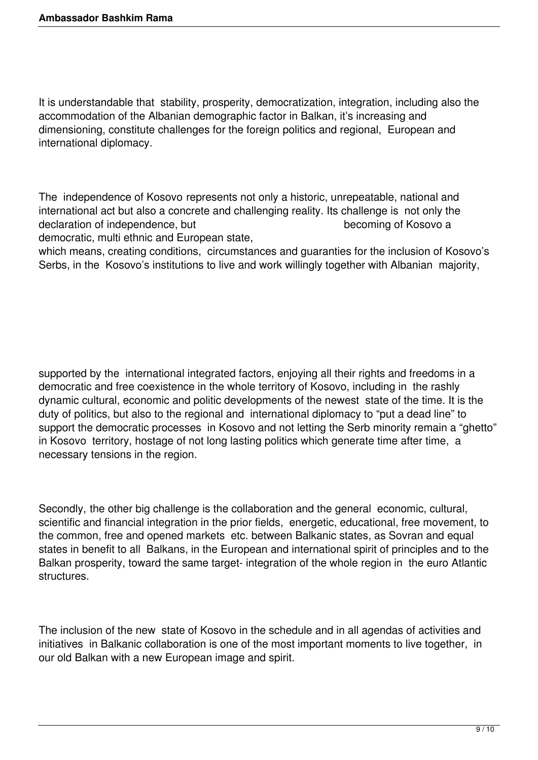It is understandable that stability, prosperity, democratization, integration, including also the accommodation of the Albanian demographic factor in Balkan, it's increasing and dimensioning, constitute challenges for the foreign politics and regional, European and international diplomacy.

The independence of Kosovo represents not only a historic, unrepeatable, national and international act but also a concrete and challenging reality. Its challenge is not only the declaration of independence, but becoming of Kosovo a

democratic, multi ethnic and European state,

which means, creating conditions, circumstances and guaranties for the inclusion of Kosovo's Serbs, in the Kosovo's institutions to live and work willingly together with Albanian majority,

supported by the international integrated factors, enjoying all their rights and freedoms in a democratic and free coexistence in the whole territory of Kosovo, including in the rashly dynamic cultural, economic and politic developments of the newest state of the time. It is the duty of politics, but also to the regional and international diplomacy to "put a dead line" to support the democratic processes in Kosovo and not letting the Serb minority remain a "ghetto" in Kosovo territory, hostage of not long lasting politics which generate time after time, a necessary tensions in the region.

Secondly, the other big challenge is the collaboration and the general economic, cultural, scientific and financial integration in the prior fields, energetic, educational, free movement, to the common, free and opened markets etc. between Balkanic states, as Sovran and equal states in benefit to all Balkans, in the European and international spirit of principles and to the Balkan prosperity, toward the same target- integration of the whole region in the euro Atlantic structures.

The inclusion of the new state of Kosovo in the schedule and in all agendas of activities and initiatives in Balkanic collaboration is one of the most important moments to live together, in our old Balkan with a new European image and spirit.